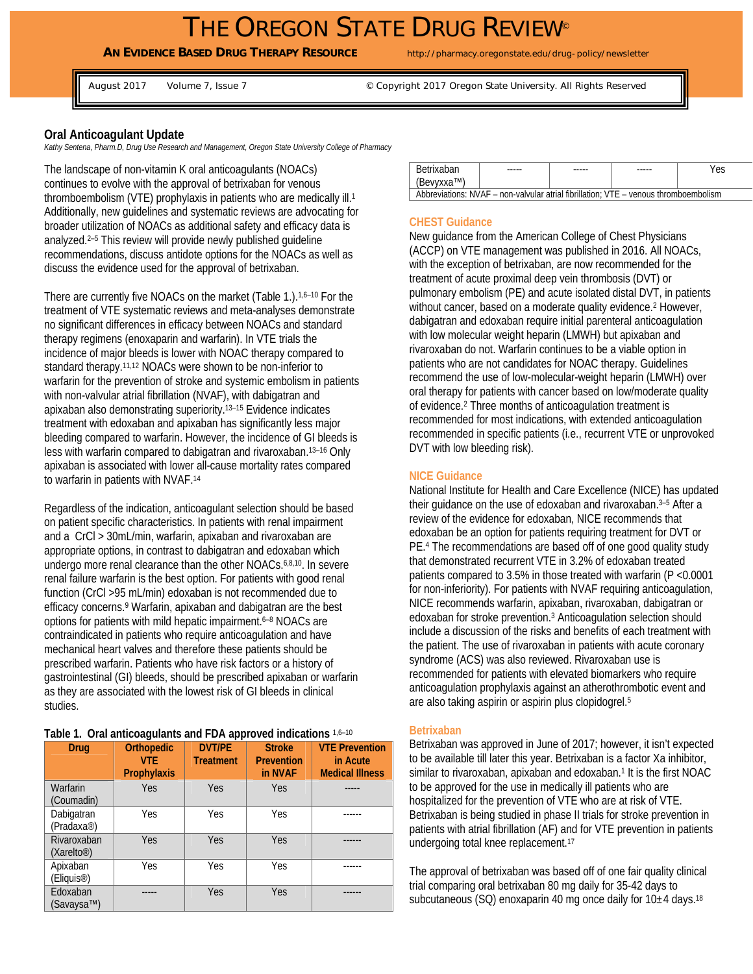# THE OREGON STATE DRUG REVIEW®

## **AN EVIDENCE BASED DRUG THERAPY RESOURCE** http://pharmacy.oregonstate.edu/drug-policy/newsletter

August 2017 Volume 7, Issue 7 Copyright 2017 Oregon State University. All Rights Reserved

## **Oral Anticoagulant Update**

*Kathy Sentena, Pharm.D, Drug Use Research and Management, Oregon State University College of Pharmacy* 

The landscape of non-vitamin K oral anticoagulants (NOACs) continues to evolve with the approval of betrixaban for venous thromboembolism (VTE) prophylaxis in patients who are medically ill.1 Additionally, new guidelines and systematic reviews are advocating for broader utilization of NOACs as additional safety and efficacy data is analyzed.2–5 This review will provide newly published guideline recommendations, discuss antidote options for the NOACs as well as discuss the evidence used for the approval of betrixaban.

There are currently five NOACs on the market (Table 1.).1,6–10 For the treatment of VTE systematic reviews and meta-analyses demonstrate no significant differences in efficacy between NOACs and standard therapy regimens (enoxaparin and warfarin). In VTE trials the incidence of major bleeds is lower with NOAC therapy compared to standard therapy.11,12 NOACs were shown to be non-inferior to warfarin for the prevention of stroke and systemic embolism in patients with non-valvular atrial fibrillation (NVAF), with dabigatran and apixaban also demonstrating superiority.13–15 Evidence indicates treatment with edoxaban and apixaban has significantly less major bleeding compared to warfarin. However, the incidence of GI bleeds is less with warfarin compared to dabigatran and rivaroxaban.13–16 Only apixaban is associated with lower all-cause mortality rates compared to warfarin in patients with NVAF.14

Regardless of the indication, anticoagulant selection should be based on patient specific characteristics. In patients with renal impairment and a CrCl > 30mL/min, warfarin, apixaban and rivaroxaban are appropriate options, in contrast to dabigatran and edoxaban which undergo more renal clearance than the other NOACs.6,8,10. In severe renal failure warfarin is the best option. For patients with good renal function (CrCl >95 mL/min) edoxaban is not recommended due to efficacy concerns.9 Warfarin, apixaban and dabigatran are the best options for patients with mild hepatic impairment.<sup>6-8</sup> NOACs are contraindicated in patients who require anticoagulation and have mechanical heart valves and therefore these patients should be prescribed warfarin. Patients who have risk factors or a history of gastrointestinal (GI) bleeds, should be prescribed apixaban or warfarin as they are associated with the lowest risk of GI bleeds in clinical studies.

#### **Table 1. Oral anticoagulants and FDA approved indications** 1,6–10

| Drug                                  | <b>Orthopedic</b><br>VTF.<br>Prophylaxis | <b>DVT/PE</b><br><b>Treatment</b> | <b>Stroke</b><br><b>Prevention</b><br>in NVAF | <b>VTE Prevention</b><br>in Acute<br><b>Medical Illness</b> |
|---------------------------------------|------------------------------------------|-----------------------------------|-----------------------------------------------|-------------------------------------------------------------|
| Warfarin<br>(Coumadin)                | Yes                                      | Yes                               | <b>Yes</b>                                    |                                                             |
| Dabigatran<br>(Pradaxa <sup>®</sup> ) | Yes                                      | Yes                               | Yes                                           |                                                             |
| Rivaroxaban<br>(Xarelto@)             | Yes                                      | Yes                               | Yes                                           |                                                             |
| Apixaban<br>(Eliquis <sup>®</sup> )   | Yes                                      | Yes                               | Yes                                           |                                                             |
| Edoxaban<br>(Savaysa™)                |                                          | Yes                               | Yes                                           |                                                             |

| <b>Betrixaban</b>                                                                    | ----- | ----- | ----- | Yes |  |  |
|--------------------------------------------------------------------------------------|-------|-------|-------|-----|--|--|
| (Bevyxxa™)                                                                           |       |       |       |     |  |  |
| Abbreviations: NVAF – non-valvular atrial fibrillation: VTE – venous thromboembolism |       |       |       |     |  |  |

## **CHEST Guidance**

New guidance from the American College of Chest Physicians (ACCP) on VTE management was published in 2016. All NOACs, with the exception of betrixaban, are now recommended for the treatment of acute proximal deep vein thrombosis (DVT) or pulmonary embolism (PE) and acute isolated distal DVT, in patients without cancer, based on a moderate quality evidence.<sup>2</sup> However, dabigatran and edoxaban require initial parenteral anticoagulation with low molecular weight heparin (LMWH) but apixaban and rivaroxaban do not. Warfarin continues to be a viable option in patients who are not candidates for NOAC therapy. Guidelines recommend the use of low-molecular-weight heparin (LMWH) over oral therapy for patients with cancer based on low/moderate quality of evidence.2 Three months of anticoagulation treatment is recommended for most indications, with extended anticoagulation recommended in specific patients (i.e., recurrent VTE or unprovoked DVT with low bleeding risk).

#### **NICE Guidance**

National Institute for Health and Care Excellence (NICE) has updated their guidance on the use of edoxaban and rivaroxaban.<sup>3-5</sup> After a review of the evidence for edoxaban, NICE recommends that edoxaban be an option for patients requiring treatment for DVT or PE.4 The recommendations are based off of one good quality study that demonstrated recurrent VTE in 3.2% of edoxaban treated patients compared to 3.5% in those treated with warfarin (P <0.0001 for non-inferiority). For patients with NVAF requiring anticoagulation, NICE recommends warfarin, apixaban, rivaroxaban, dabigatran or edoxaban for stroke prevention.3 Anticoagulation selection should include a discussion of the risks and benefits of each treatment with the patient. The use of rivaroxaban in patients with acute coronary syndrome (ACS) was also reviewed. Rivaroxaban use is recommended for patients with elevated biomarkers who require anticoagulation prophylaxis against an atherothrombotic event and are also taking aspirin or aspirin plus clopidogrel.5

#### **Betrixaban**

Betrixaban was approved in June of 2017; however, it isn't expected to be available till later this year. Betrixaban is a factor Xa inhibitor, similar to rivaroxaban, apixaban and edoxaban.<sup>1</sup> It is the first NOAC to be approved for the use in medically ill patients who are hospitalized for the prevention of VTE who are at risk of VTE. Betrixaban is being studied in phase II trials for stroke prevention in patients with atrial fibrillation (AF) and for VTE prevention in patients undergoing total knee replacement.17

The approval of betrixaban was based off of one fair quality clinical trial comparing oral betrixaban 80 mg daily for 35-42 days to subcutaneous (SQ) enoxaparin 40 mg once daily for  $10±4$  days.<sup>18</sup>